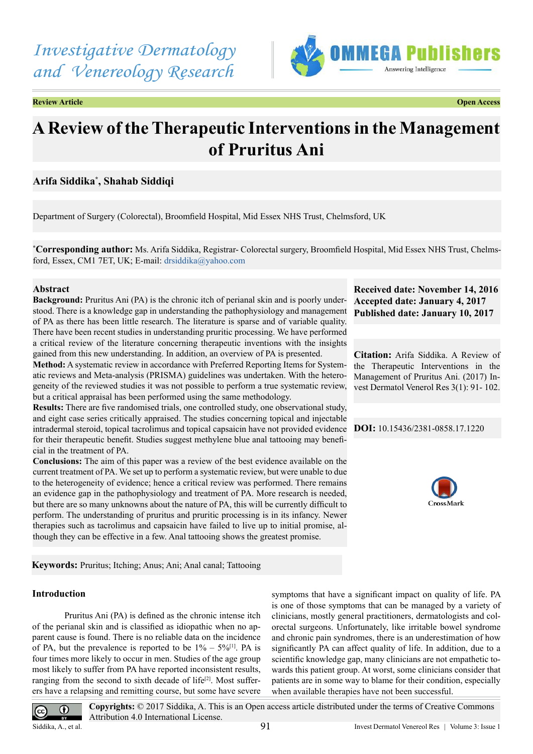

**Review Article Open Access**

# **A Review of the Therapeutic Interventions in the Management of Pruritus Ani**

# **Arifa Siddika\* , Shahab Siddiqi**

Department of Surgery (Colorectal), Broomfield Hospital, Mid Essex NHS Trust, Chelmsford, UK

**\* Corresponding author:** Ms. Arifa Siddika, Registrar- Colorectal surgery, Broomfield Hospital, Mid Essex NHS Trust, Chelmsford, Essex, CM1 7ET, UK; E-mail: [drsiddika@yahoo.com](mailto:drsiddika@yahoo.com)

# **Abstract**

**Background:** Pruritus Ani (PA) is the chronic itch of perianal skin and is poorly understood. There is a knowledge gap in understanding the pathophysiology and management of PA as there has been little research. The literature is sparse and of variable quality. There have been recent studies in understanding pruritic processing. We have performed a critical review of the literature concerning therapeutic inventions with the insights gained from this new understanding. In addition, an overview of PA is presented.

**Method:** A systematic review in accordance with Preferred Reporting Items for Systematic reviews and Meta-analysis (PRISMA) guidelines was undertaken. With the heterogeneity of the reviewed studies it was not possible to perform a true systematic review, but a critical appraisal has been performed using the same methodology.

**Results:** There are five randomised trials, one controlled study, one observational study, and eight case series critically appraised. The studies concerning topical and injectable intradermal steroid, topical tacrolimus and topical capsaicin have not provided evidence for their therapeutic benefit. Studies suggest methylene blue anal tattooing may beneficial in the treatment of PA.

**Conclusions:** The aim of this paper was a review of the best evidence available on the current treatment of PA. We set up to perform a systematic review, but were unable to due to the heterogeneity of evidence; hence a critical review was performed. There remains an evidence gap in the pathophysiology and treatment of PA. More research is needed, but there are so many unknowns about the nature of PA, this will be currently difficult to perform. The understanding of pruritus and pruritic processing is in its infancy. Newer therapies such as tacrolimus and capsaicin have failed to live up to initial promise, although they can be effective in a few. Anal tattooing shows the greatest promise.

**Keywords:** Pruritus; Itching; Anus; Ani; Anal canal; Tattooing

## **Introduction**

 Pruritus Ani (PA) is defined as the chronic intense itch of the perianal skin and is classified as idiopathic when no apparent cause is found. There is no reliable data on the incidence of PA, but the prevalence is reported to be  $1\% - 5\%/11}$ . PA is four times more likely to occur in men. Studies of the age group most likely to suffer from PA have reported inconsistent results, ranging from the second to sixth decade of life<sup>[\[2\]](#page-10-1)</sup>. Most sufferers have a relapsing and remitting course, but some have severe

symptoms that have a significant impact on quality of life. PA is one of those symptoms that can be managed by a variety of clinicians, mostly general practitioners, dermatologists and colorectal surgeons. Unfortunately, like irritable bowel syndrome and chronic pain syndromes, there is an underestimation of how significantly PA can affect quality of life. In addition, due to a scientific knowledge gap, many clinicians are not empathetic towards this patient group. At worst, some clinicians consider that patients are in some way to blame for their condition, especially when available therapies have not been successful.

**Received date: November 14, 2016 Accepted date: January 4, 2017 Published date: January 10, 2017**

**Citation:** Arifa Siddika. A Review of the Therapeutic Interventions in the Management of Pruritus Ani. (2017) Invest Dermatol Venerol Res 3(1): 91- 102.

**DOI:** [10.15436/2381-0858.17.1](http://www.dx.doi.org/10.15436/2381-0858.17.1220
)220



 $\odot$  $(cc)$ 

**Copyrights:** © 2017 Siddika, A. This is an Open access article distributed under the terms of Creative Commons Attribution 4.0 International License.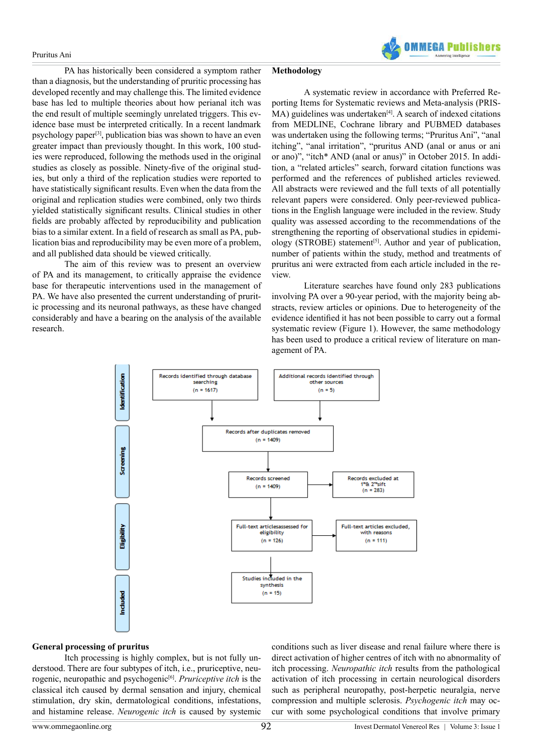PA has historically been considered a symptom rather than a diagnosis, but the understanding of pruritic processing has developed recently and may challenge this. The limited evidence base has led to multiple theories about how perianal itch was the end result of multiple seemingly unrelated triggers. This evidence base must be interpreted critically. In a recent landmark psychology paper[\[3\]](#page-10-2), publication bias was shown to have an even greater impact than previously thought. In this work, 100 studies were reproduced, following the methods used in the original studies as closely as possible. Ninety-five of the original studies, but only a third of the replication studies were reported to have statistically significant results. Even when the data from the original and replication studies were combined, only two thirds yielded statistically significant results. Clinical studies in other fields are probably affected by reproducibility and publication bias to a similar extent. In a field of research as small as PA, publication bias and reproducibility may be even more of a problem, and all published data should be viewed critically.

 The aim of this review was to present an overview of PA and its management, to critically appraise the evidence base for therapeutic interventions used in the management of PA. We have also presented the current understanding of pruritic processing and its neuronal pathways, as these have changed considerably and have a bearing on the analysis of the available research.

#### **Methodology**

 A systematic review in accordance with Preferred Reporting Items for Systematic reviews and Meta-analysis (PRIS- $MA$ ) guidelines was undertaken<sup>[4]</sup>. A search of indexed citations from MEDLINE, Cochrane library and PUBMED databases was undertaken using the following terms; "Pruritus Ani", "anal itching", "anal irritation", "pruritus AND (anal or anus or ani or ano)", "itch\* AND (anal or anus)" in October 2015. In addition, a "related articles" search, forward citation functions was performed and the references of published articles reviewed. All abstracts were reviewed and the full texts of all potentially relevant papers were considered. Only peer-reviewed publications in the English language were included in the review. Study quality was assessed according to the recommendations of the strengthening the reporting of observational studies in epidemiology (STROBE) statement<sup>[5]</sup>. Author and year of publication, number of patients within the study, method and treatments of pruritus ani were extracted from each article included in the review.

**OMMFGA Publish** 

 Literature searches have found only 283 publications involving PA over a 90-year period, with the majority being abstracts, review articles or opinions. Due to heterogeneity of the evidence identified it has not been possible to carry out a formal systematic review (Figure 1). However, the same methodology has been used to produce a critical review of literature on management of PA.



#### **General processing of pruritus**

 Itch processing is highly complex, but is not fully understood. There are four subtypes of itch, i.e., pruriceptive, neurogenic, neuropathic and psychogeni[c\[6\].](#page-10-5) *Pruriceptive itch* is the classical itch caused by dermal sensation and injury, chemical stimulation, dry skin, dermatological conditions, infestations, and histamine release. *Neurogenic itch* is caused by systemic conditions such as liver disease and renal failure where there is direct activation of higher centres of itch with no abnormality of itch processing. *Neuropathic itch* results from the pathological activation of itch processing in certain neurological disorders such as peripheral neuropathy, post-herpetic neuralgia, nerve compression and multiple sclerosis. *Psychogenic itch* may occur with some psychological conditions that involve primary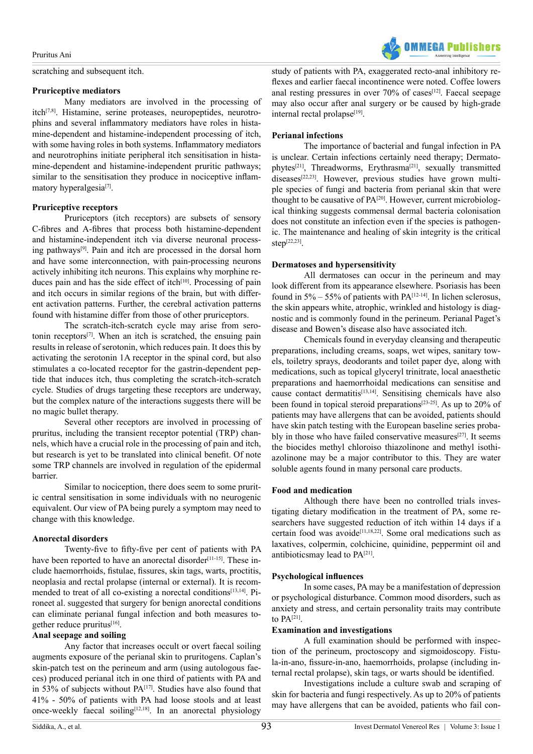scratching and subsequent itch.

#### **Pruriceptive mediators**

 Many mediators are involved in the processing of itc[h\[7,8\]](#page-10-6). Histamine, serine proteases, neuropeptides, neurotrophins and several inflammatory mediators have roles in histamine-dependent and histamine-independent processing of itch, with some having roles in both systems. Inflammatory mediators and neurotrophins initiate peripheral itch sensitisation in histamine-dependent and histamine-independent pruritic pathways; similar to the sensitisation they produce in nociceptive inflammatory hyperalgesia<sup>[7]</sup>.

## **Pruriceptive receptors**

 Pruriceptors (itch receptors) are subsets of sensory C-fibres and A-fibres that process both histamine-dependent and histamine-independent itch via diverse neuronal processing pathways[\[9\].](#page-10-7) Pain and itch are processed in the dorsal horn and have some interconnection, with pain-processing neurons actively inhibiting itch neurons. This explains why morphine re-duces pain and has the side effect of itch<sup>[\[10\]](#page-10-8)</sup>. Processing of pain and itch occurs in similar regions of the brain, but with different activation patterns. Further, the cerebral activation patterns found with histamine differ from those of other pruriceptors.

 The scratch-itch-scratch cycle may arise from serotonin receptors[\[7\].](#page-10-6) When an itch is scratched, the ensuing pain results in release of serotonin, which reduces pain. It does this by activating the serotonin 1A receptor in the spinal cord, but also stimulates a co-located receptor for the gastrin-dependent peptide that induces itch, thus completing the scratch-itch-scratch cycle. Studies of drugs targeting these receptors are underway, but the complex nature of the interactions suggests there will be no magic bullet therapy.

 Several other receptors are involved in processing of pruritus, including the transient receptor potential (TRP) channels, which have a crucial role in the processing of pain and itch, but research is yet to be translated into clinical benefit. Of note some TRP channels are involved in regulation of the epidermal barrier.

 Similar to nociception, there does seem to some pruritic central sensitisation in some individuals with no neurogenic equivalent. Our view of PA being purely a symptom may need to change with this knowledge.

#### **Anorectal disorders**

 Twenty-five to fifty-five per cent of patients with PA have been reported to have an anorectal disorder<sup>[11-15]</sup>. These include haemorrhoids, fistulae, fissures, skin tags, warts, proctitis, neoplasia and rectal prolapse (internal or external). It is recommended to treat of all co-existing a norectal conditions<sup>[13,14]</sup>. Pironeet al. suggested that surgery for benign anorectal conditions can eliminate perianal fungal infection and both measures to-gether reduce pruritus<sup>[\[16\]](#page-10-11)</sup>.

## **Anal seepage and soiling**

 Any factor that increases occult or overt faecal soiling augments exposure of the perianal skin to pruritogens. Caplan's skin-patch test on the perineum and arm (using autologous faeces) produced perianal itch in one third of patients with PA and in 53% of subjects without PA<sup>[17]</sup>. Studies have also found that 41% - 50% of patients with PA had loose stools and at least once-weekly faecal soiling $[12,18]$ . In an anorectal physiology

study of patients with PA, exaggerated recto-anal inhibitory reflexes and earlier faecal incontinence were noted. Coffee lowers anal resting pressures in over  $70\%$  of cases<sup>[12]</sup>. Faecal seepage may also occur after anal surgery or be caused by high-grade internal rectal prolapse $[19]$ .

**OMMFCA Publicher** 

## **Perianal infections**

 The importance of bacterial and fungal infection in PA is unclear. Certain infections certainly need therapy; Dermato-phytes<sup>[\[21\]](#page-10-15)</sup>, Threadworms, Erythrasma<sup>[21]</sup>, sexually transmitted  $diseases^{[22,23]}$ . However, previous studies have grown multiple species of fungi and bacteria from perianal skin that were thought to be causative of PA<sup>[\[20\]](#page-10-17)</sup>. However, current microbiological thinking suggests commensal dermal bacteria colonisation does not constitute an infection even if the species is pathogenic. The maintenance and healing of skin integrity is the critical  $\mbox{step}^{[22,23]}$ 

## **Dermatoses and hypersensitivity**

 All dermatoses can occur in the perineum and may look different from its appearance elsewhere. Psoriasis has been found in  $5\% - 55\%$  of patients with PA<sup>[12-14]</sup>. In lichen sclerosus, the skin appears white, atrophic, wrinkled and histology is diagnostic and is commonly found in the perineum. Perianal Paget's disease and Bowen's disease also have associated itch.

 Chemicals found in everyday cleansing and therapeutic preparations, including creams, soaps, wet wipes, sanitary towels, toiletry sprays, deodorants and toilet paper dye, along with medications, such as topical glyceryl trinitrate, local anaesthetic preparations and haemorrhoidal medications can sensitise and cause contact dermatitis $[13,14]$ . Sensitising chemicals have also been found in topical steroid preparations<sup>[\[23-25\]](#page-10-18)</sup>. As up to 20% of patients may have allergens that can be avoided, patients should have skin patch testing with the European baseline series probably in those who have failed conservative measures<sup>[27]</sup>. It seems the biocides methyl chloroiso thiazolinone and methyl isothiazolinone may be a major contributor to this. They are water soluble agents found in many personal care products.

#### **Food and medication**

 Although there have been no controlled trials investigating dietary modification in the treatment of PA, some researchers have suggested reduction of itch within 14 days if a certain food was avoide<sup>[11,18,22]</sup>. Some oral medications such as laxatives, colpermin, colchicine, quinidine, peppermint oil and antibioticsmay lead to P[A\[21\]](#page-10-15).

#### **Psychological influences**

 In some cases, PAmay be a manifestation of depression or psychological disturbance. Common mood disorders, such as anxiety and stress, and certain personality traits may contribute to PA[\[21\]](#page-10-15).

## **Examination and investigations**

 A full examination should be performed with inspection of the perineum, proctoscopy and sigmoidoscopy. Fistula-in-ano, fissure-in-ano, haemorrhoids, prolapse (including internal rectal prolapse), skin tags, or warts should be identified.

 Investigations include a culture swab and scraping of skin for bacteria and fungi respectively. As up to 20% of patients may have allergens that can be avoided, patients who fail con-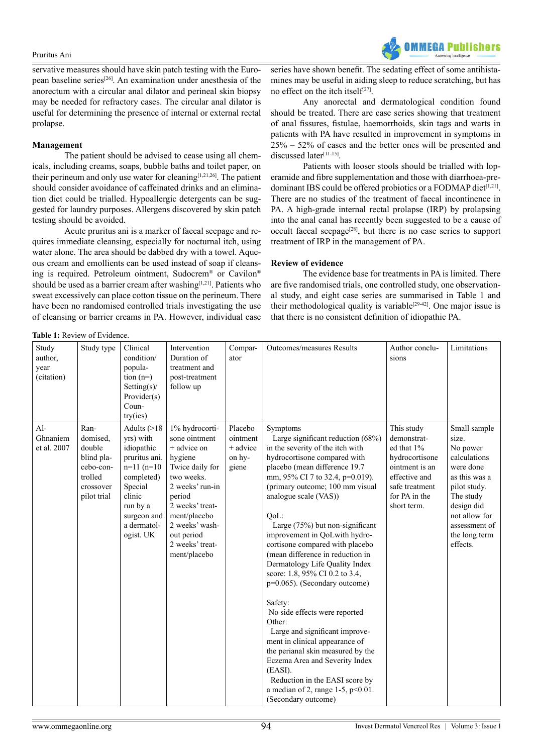

servative measures should have skin patch testing with the European baseline serie[s\[26\].](#page-10-20) An examination under anesthesia of the anorectum with a circular anal dilator and perineal skin biopsy may be needed for refractory cases. The circular anal dilator is useful for determining the presence of internal or external rectal prolapse.

## **Management**

 The patient should be advised to cease using all chemicals, including creams, soaps, bubble baths and toilet paper, on their perineum and only use water for cleaning[\[1,21,26\]](#page-10-0). The patient should consider avoidance of caffeinated drinks and an elimination diet could be trialled. Hypoallergic detergents can be suggested for laundry purposes. Allergens discovered by skin patch testing should be avoided.

 Acute pruritus ani is a marker of faecal seepage and requires immediate cleansing, especially for nocturnal itch, using water alone. The area should be dabbed dry with a towel. Aqueous cream and emollients can be used instead of soap if cleansing is required. Petroleum ointment, Sudocrem® or Cavilon® should be used as a barrier cream after washing  $[1,21]$ . Patients who sweat excessively can place cotton tissue on the perineum. There have been no randomised controlled trials investigating the use of cleansing or barrier creams in PA. However, individual case

**Table 1:** Review of Evidence.

series have shown benefit. The sedating effect of some antihistamines may be useful in aiding sleep to reduce scratching, but has no effect on the itch itself<sup>[27]</sup>.

 Any anorectal and dermatological condition found should be treated. There are case series showing that treatment of anal fissures, fistulae, haemorrhoids, skin tags and warts in patients with PA have resulted in improvement in symptoms in 25% – 52% of cases and the better ones will be presented and discussed later<sup>[11-15]</sup>.

 Patients with looser stools should be trialled with loperamide and fibre supplementation and those with diarrhoea-predominant IBS could be offered probiotics or a FODMAP diet<sup>[1,21]</sup>. There are no studies of the treatment of faecal incontinence in PA. A high-grade internal rectal prolapse (IRP) by prolapsing into the anal canal has recently been suggested to be a cause of occult faecal seepage[\[28\],](#page-10-21) but there is no case series to support treatment of IRP in the management of PA.

## **Review of evidence**

 The evidence base for treatments in PA is limited. There are five randomised trials, one controlled study, one observational study, and eight case series are summarised in Table 1 and their methodological quality is variable<sup>[29-42]</sup>. One major issue is that there is no consistent definition of idiopathic PA.

| Study<br>author,<br>year<br>(citation) | Study type                                                                                   | Clinical<br>condition/<br>popula-<br>$\tan(n=)$<br>Setting $(s)$ /<br>Provider(s)<br>Coun-<br>try(ies)                                                                 | Intervention<br>Duration of<br>treatment and<br>post-treatment<br>follow up                                                                                                                                                   | Compar-<br>ator                                      | <b>Outcomes/measures Results</b>                                                                                                                                                                                                                                                                                                                                                                                                                                                                                                                                                                                                                                                                                                                                                                                         | Author conclu-<br>sions                                                                                                                        | Limitations                                                                                                                                                                               |
|----------------------------------------|----------------------------------------------------------------------------------------------|------------------------------------------------------------------------------------------------------------------------------------------------------------------------|-------------------------------------------------------------------------------------------------------------------------------------------------------------------------------------------------------------------------------|------------------------------------------------------|--------------------------------------------------------------------------------------------------------------------------------------------------------------------------------------------------------------------------------------------------------------------------------------------------------------------------------------------------------------------------------------------------------------------------------------------------------------------------------------------------------------------------------------------------------------------------------------------------------------------------------------------------------------------------------------------------------------------------------------------------------------------------------------------------------------------------|------------------------------------------------------------------------------------------------------------------------------------------------|-------------------------------------------------------------------------------------------------------------------------------------------------------------------------------------------|
| $Al-$<br>Ghnaniem<br>et al. 2007       | Ran-<br>domised,<br>double<br>blind pla-<br>cebo-con-<br>trolled<br>crossover<br>pilot trial | Adults $(>18$<br>yrs) with<br>idiopathic<br>pruritus ani.<br>$n=11$ $(n=10)$<br>completed)<br>Special<br>clinic<br>run by a<br>surgeon and<br>a dermatol-<br>ogist. UK | 1% hydrocorti-<br>sone ointment<br>+ advice on<br>hygiene<br>Twice daily for<br>two weeks.<br>2 weeks' run-in<br>period<br>2 weeks' treat-<br>ment/placebo<br>2 weeks' wash-<br>out period<br>2 weeks' treat-<br>ment/placebo | Placebo<br>ointment<br>$+$ advice<br>on hy-<br>giene | Symptoms<br>Large significant reduction (68%)<br>in the severity of the itch with<br>hydrocortisone compared with<br>placebo (mean difference 19.7<br>mm, 95% CI 7 to 32.4, p=0.019).<br>(primary outcome; 100 mm visual<br>analogue scale (VAS))<br>QoL:<br>Large $(75%)$ but non-significant<br>improvement in QoLwith hydro-<br>cortisone compared with placebo<br>(mean difference in reduction in<br>Dermatology Life Quality Index<br>score: 1.8, 95% CI 0.2 to 3.4,<br>p=0.065). (Secondary outcome)<br>Safety:<br>No side effects were reported<br>Other:<br>Large and significant improve-<br>ment in clinical appearance of<br>the perianal skin measured by the<br>Eczema Area and Severity Index<br>(EASI).<br>Reduction in the EASI score by<br>a median of 2, range 1-5, $p<0.01$ .<br>(Secondary outcome) | This study<br>demonstrat-<br>ed that 1%<br>hydrocortisone<br>ointment is an<br>effective and<br>safe treatment<br>for PA in the<br>short term. | Small sample<br>size.<br>No power<br>calculations<br>were done<br>as this was a<br>pilot study.<br>The study<br>design did<br>not allow for<br>assessment of<br>the long term<br>effects. |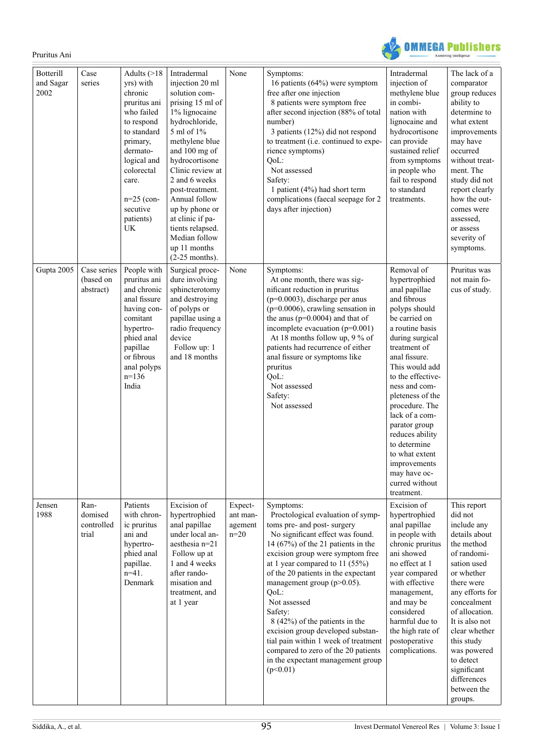

| <b>Botterill</b><br>and Sagar<br>2002 | Case<br>series                         | Adults $($ >18<br>yrs) with<br>chronic<br>pruritus ani<br>who failed<br>to respond<br>to standard<br>primary,<br>dermato-<br>logical and<br>colorectal<br>care.<br>$n=25$ (con-<br>secutive<br>patients)<br>UK | Intradermal<br>injection 20 ml<br>solution com-<br>prising 15 ml of<br>1% lignocaine<br>hydrochloride,<br>5 ml of 1%<br>methylene blue<br>and 100 mg of<br>hydrocortisone<br>Clinic review at<br>2 and 6 weeks<br>post-treatment.<br>Annual follow<br>up by phone or<br>at clinic if pa-<br>tients relapsed.<br>Median follow<br>up 11 months<br>$(2-25$ months). | None                                     | Symptoms:<br>16 patients (64%) were symptom<br>free after one injection<br>8 patients were symptom free<br>after second injection (88% of total<br>number)<br>3 patients (12%) did not respond<br>to treatment (i.e. continued to expe-<br>rience symptoms)<br>QoL:<br>Not assessed<br>Safety:<br>1 patient (4%) had short term<br>complications (faecal seepage for 2<br>days after injection)                                                                                                                                                        | Intradermal<br>injection of<br>methylene blue<br>in combi-<br>nation with<br>lignocaine and<br>hydrocortisone<br>can provide<br>sustained relief<br>from symptoms<br>in people who<br>fail to respond<br>to standard<br>treatments.                                                                                                                                                                                        | The lack of a<br>comparator<br>group reduces<br>ability to<br>determine to<br>what extent<br>improvements<br>may have<br>occurred<br>without treat-<br>ment. The<br>study did not<br>report clearly<br>how the out-<br>comes were<br>assessed,<br>or assess<br>severity of<br>symptoms.                                 |
|---------------------------------------|----------------------------------------|----------------------------------------------------------------------------------------------------------------------------------------------------------------------------------------------------------------|-------------------------------------------------------------------------------------------------------------------------------------------------------------------------------------------------------------------------------------------------------------------------------------------------------------------------------------------------------------------|------------------------------------------|--------------------------------------------------------------------------------------------------------------------------------------------------------------------------------------------------------------------------------------------------------------------------------------------------------------------------------------------------------------------------------------------------------------------------------------------------------------------------------------------------------------------------------------------------------|----------------------------------------------------------------------------------------------------------------------------------------------------------------------------------------------------------------------------------------------------------------------------------------------------------------------------------------------------------------------------------------------------------------------------|-------------------------------------------------------------------------------------------------------------------------------------------------------------------------------------------------------------------------------------------------------------------------------------------------------------------------|
| Gupta 2005                            | Case series<br>(based on<br>abstract)  | People with<br>pruritus ani<br>and chronic<br>anal fissure<br>having con-<br>comitant<br>hypertro-<br>phied anal<br>papillae<br>or fibrous<br>anal polyps<br>$n=136$<br>India                                  | Surgical proce-<br>dure involving<br>sphincterotomy<br>and destroying<br>of polyps or<br>papillae using a<br>radio frequency<br>device<br>Follow up: 1<br>and 18 months                                                                                                                                                                                           | None                                     | Symptoms:<br>At one month, there was sig-<br>nificant reduction in pruritus<br>$(p=0.0003)$ , discharge per anus<br>$(p=0.0006)$ , crawling sensation in<br>the anus ( $p=0.0004$ ) and that of<br>incomplete evacuation $(p=0.001)$<br>At 18 months follow up, 9 % of<br>patients had recurrence of either<br>anal fissure or symptoms like<br>pruritus<br>QoL:<br>Not assessed<br>Safety:<br>Not assessed                                                                                                                                            | Removal of<br>hypertrophied<br>anal papillae<br>and fibrous<br>polyps should<br>be carried on<br>a routine basis<br>during surgical<br>treatment of<br>anal fissure.<br>This would add<br>to the effective-<br>ness and com-<br>pleteness of the<br>procedure. The<br>lack of a com-<br>parator group<br>reduces ability<br>to determine<br>to what extent<br>improvements<br>may have oc-<br>curred without<br>treatment. | Pruritus was<br>not main fo-<br>cus of study.                                                                                                                                                                                                                                                                           |
| Jensen<br>1988                        | Ran-<br>domised<br>controlled<br>trial | Patients<br>with chron-<br>ic pruritus<br>ani and<br>hypertro-<br>phied anal<br>papillae.<br>$n=41$ .<br>Denmark                                                                                               | Excision of<br>hypertrophied<br>anal papillae<br>under local an-<br>aesthesia $n=21$<br>Follow up at<br>1 and 4 weeks<br>after rando-<br>misation and<br>treatment, and<br>at 1 year                                                                                                                                                                              | Expect-<br>ant man-<br>agement<br>$n=20$ | Symptoms:<br>Proctological evaluation of symp-<br>toms pre- and post- surgery<br>No significant effect was found.<br>14 $(67%)$ of the 21 patients in the<br>excision group were symptom free<br>at 1 year compared to 11 $(55%)$<br>of the 20 patients in the expectant<br>management group ( $p > 0.05$ ).<br>QoL:<br>Not assessed<br>Safety:<br>8 (42%) of the patients in the<br>excision group developed substan-<br>tial pain within 1 week of treatment<br>compared to zero of the 20 patients<br>in the expectant management group<br>(p<0.01) | Excision of<br>hypertrophied<br>anal papillae<br>in people with<br>chronic pruritus<br>ani showed<br>no effect at 1<br>year compared<br>with effective<br>management,<br>and may be<br>considered<br>harmful due to<br>the high rate of<br>postoperative<br>complications.                                                                                                                                                 | This report<br>did not<br>include any<br>details about<br>the method<br>of randomi-<br>sation used<br>or whether<br>there were<br>any efforts for<br>concealment<br>of allocation.<br>It is also not<br>clear whether<br>this study<br>was powered<br>to detect<br>significant<br>differences<br>between the<br>groups. |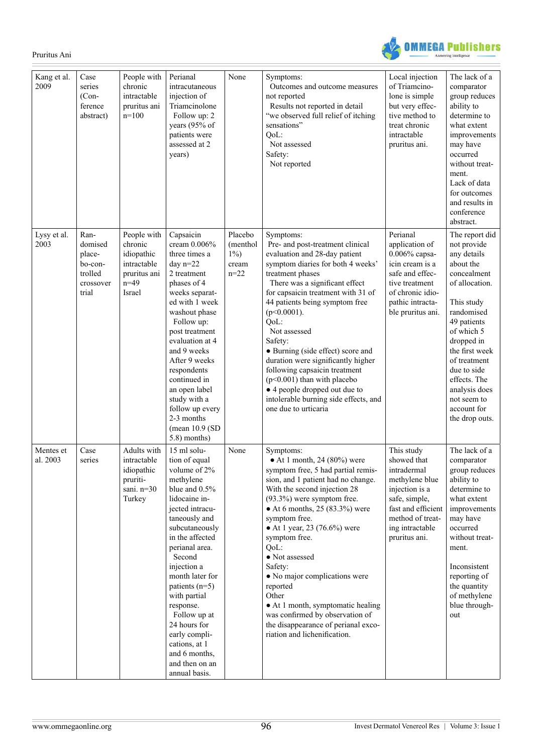OMMEGA Publishers ng Intelligence

| Kang et al.<br>2009   | Case<br>series<br>$(Con-$<br>ference<br>abstract)                     | People with<br>chronic<br>intractable<br>pruritus ani<br>$n=100$                        | Perianal<br>intracutaneous<br>injection of<br>Triamcinolone<br>Follow up: 2<br>years (95% of<br>patients were<br>assessed at 2<br>years)                                                                                                                                                                                                                                                                  | None                                             | Symptoms:<br>Outcomes and outcome measures<br>not reported<br>Results not reported in detail<br>"we observed full relief of itching<br>sensations"<br>QoL:<br>Not assessed<br>Safety:<br>Not reported                                                                                                                                                                                                                                                                                                                                                 | Local injection<br>of Triamcino-<br>lone is simple<br>but very effec-<br>tive method to<br>treat chronic<br>intractable<br>pruritus ani.                                    | The lack of a<br>comparator<br>group reduces<br>ability to<br>determine to<br>what extent<br>improvements<br>may have<br>occurred<br>without treat-<br>ment.<br>Lack of data<br>for outcomes<br>and results in<br>conference<br>abstract.                                                           |
|-----------------------|-----------------------------------------------------------------------|-----------------------------------------------------------------------------------------|-----------------------------------------------------------------------------------------------------------------------------------------------------------------------------------------------------------------------------------------------------------------------------------------------------------------------------------------------------------------------------------------------------------|--------------------------------------------------|-------------------------------------------------------------------------------------------------------------------------------------------------------------------------------------------------------------------------------------------------------------------------------------------------------------------------------------------------------------------------------------------------------------------------------------------------------------------------------------------------------------------------------------------------------|-----------------------------------------------------------------------------------------------------------------------------------------------------------------------------|-----------------------------------------------------------------------------------------------------------------------------------------------------------------------------------------------------------------------------------------------------------------------------------------------------|
| Lysy et al.<br>2003   | Ran-<br>domised<br>place-<br>bo-con-<br>trolled<br>crossover<br>trial | People with<br>chronic<br>idiopathic<br>intractable<br>pruritus ani<br>$n=49$<br>Israel | Capsaicin<br>cream $0.006\%$<br>three times a<br>day $n=22$<br>2 treatment<br>phases of 4<br>weeks separat-<br>ed with 1 week<br>washout phase<br>Follow up:<br>post treatment<br>evaluation at 4<br>and 9 weeks<br>After 9 weeks<br>respondents<br>continued in<br>an open label<br>study with a<br>follow up every<br>2-3 months<br>(mean $10.9$ (SD)<br>5.8) months)                                   | Placebo<br>(menthol)<br>$1\%$<br>cream<br>$n=22$ | Symptoms:<br>Pre- and post-treatment clinical<br>evaluation and 28-day patient<br>symptom diaries for both 4 weeks'<br>treatment phases<br>There was a significant effect<br>for capsaicin treatment with 31 of<br>44 patients being symptom free<br>$(p<0.0001)$ .<br>QoL:<br>Not assessed<br>Safety:<br>• Burning (side effect) score and<br>duration were significantly higher<br>following capsaicin treatment<br>$(p<0.001)$ than with placebo<br>• 4 people dropped out due to<br>intolerable burning side effects, and<br>one due to urticaria | Perianal<br>application of<br>$0.006\%$ capsa-<br>icin cream is a<br>safe and effec-<br>tive treatment<br>of chronic idio-<br>pathic intracta-<br>ble pruritus ani.         | The report did<br>not provide<br>any details<br>about the<br>concealment<br>of allocation.<br>This study<br>randomised<br>49 patients<br>of which 5<br>dropped in<br>the first week<br>of treatment<br>due to side<br>effects. The<br>analysis does<br>not seem to<br>account for<br>the drop outs. |
| Mentes et<br>al. 2003 | Case<br>series                                                        | Adults with<br>intractable<br>idiopathic<br>pruriti-<br>sani. $n=30$<br>Turkey          | 15 ml solu-<br>tion of equal<br>volume of 2%<br>methylene<br>blue and 0.5%<br>lidocaine in-<br>jected intracu-<br>taneously and<br>subcutaneously<br>in the affected<br>perianal area.<br>Second<br>injection a<br>month later for<br>patients $(n=5)$<br>with partial<br>response.<br>Follow up at<br>24 hours for<br>early compli-<br>cations, at 1<br>and 6 months,<br>and then on an<br>annual basis. | None                                             | Symptoms:<br>$\bullet$ At 1 month, 24 (80%) were<br>symptom free, 5 had partial remis-<br>sion, and 1 patient had no change.<br>With the second injection 28<br>$(93.3\%)$ were symptom free.<br>$\bullet$ At 6 months, 25 (83.3%) were<br>symptom free.<br>• At 1 year, 23 (76.6%) were<br>symptom free.<br>QoL:<br>• Not assessed<br>Safety:<br>• No major complications were<br>reported<br>Other<br>• At 1 month, symptomatic healing<br>was confirmed by observation of<br>the disappearance of perianal exco-<br>riation and lichenification.   | This study<br>showed that<br>intradermal<br>methylene blue<br>injection is a<br>safe, simple,<br>fast and efficient<br>method of treat-<br>ing intractable<br>pruritus ani. | The lack of a<br>comparator<br>group reduces<br>ability to<br>determine to<br>what extent<br>improvements<br>may have<br>occurred<br>without treat-<br>ment.<br>Inconsistent<br>reporting of<br>the quantity<br>of methylene<br>blue through-<br>out                                                |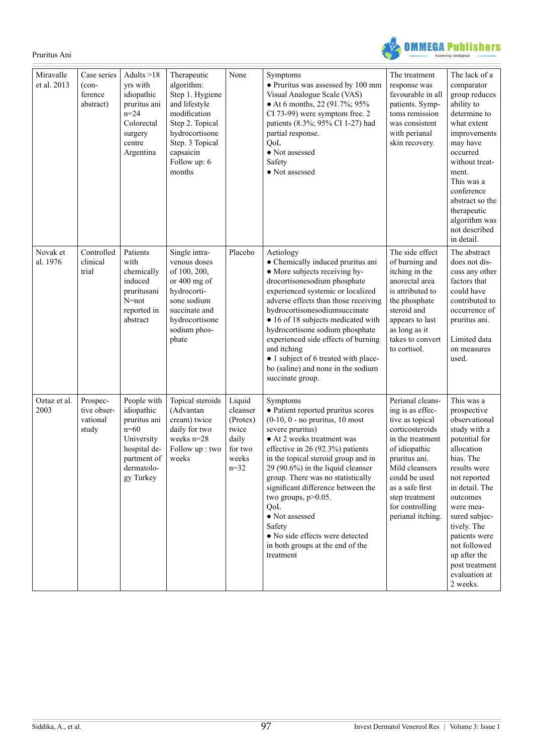**OMMEGA Publishers** 

| Miravalle<br>et al. 2013 | Case series<br>$(con-$<br>ference<br>abstract) | Adults $>18$<br>yrs with<br>idiopathic<br>pruritus ani<br>$n = 24$<br>Colorectal<br>surgery<br>centre<br>Argentina          | Therapeutic<br>algorithm:<br>Step 1. Hygiene<br>and lifestyle<br>modification<br>Step 2. Topical<br>hydrocortisone<br>Step. 3 Topical<br>capsaicin<br>Follow up: 6<br>months | None                                                                             | Symptoms<br>• Pruritus was assessed by 100 mm<br>Visual Analogue Scale (VAS)<br>• At 6 months, 22 (91.7%; 95%<br>CI 73-99) were symptom free. 2<br>patients (8.3%; 95% CI 1-27) had<br>partial response.<br>QoL<br>• Not assessed<br>Safety<br>• Not assessed                                                                                                                                                                                                                           | The treatment<br>response was<br>favourable in all<br>patients. Symp-<br>toms remission<br>was consistent<br>with perianal<br>skin recovery.                                                                                                     | The lack of a<br>comparator<br>group reduces<br>ability to<br>determine to<br>what extent<br>improvements<br>may have<br>occurred<br>without treat-<br>ment.<br>This was a<br>conference<br>abstract so the<br>therapeutic<br>algorithm was<br>not described<br>in detail.                                        |
|--------------------------|------------------------------------------------|-----------------------------------------------------------------------------------------------------------------------------|------------------------------------------------------------------------------------------------------------------------------------------------------------------------------|----------------------------------------------------------------------------------|-----------------------------------------------------------------------------------------------------------------------------------------------------------------------------------------------------------------------------------------------------------------------------------------------------------------------------------------------------------------------------------------------------------------------------------------------------------------------------------------|--------------------------------------------------------------------------------------------------------------------------------------------------------------------------------------------------------------------------------------------------|-------------------------------------------------------------------------------------------------------------------------------------------------------------------------------------------------------------------------------------------------------------------------------------------------------------------|
| Novak et<br>al. 1976     | Controlled<br>clinical<br>trial                | Patients<br>with<br>chemically<br>induced<br>pruritusani<br>$N=not$<br>reported in<br>abstract                              | Single intra-<br>venous doses<br>of 100, 200,<br>or 400 mg of<br>hydrocorti-<br>sone sodium<br>succinate and<br>hydrocortisone<br>sodium phos-<br>phate                      | Placebo                                                                          | Aetiology<br>• Chemically induced pruritus ani<br>• More subjects receiving hy-<br>drocortisonesodium phosphate<br>experienced systemic or localized<br>adverse effects than those receiving<br>hydrocortisonesodiumsuccinate<br>• 16 of 18 subjects medicated with<br>hydrocortisone sodium phosphate<br>experienced side effects of burning<br>and itching<br>• 1 subject of 6 treated with place-<br>bo (saline) and none in the sodium<br>succinate group.                          | The side effect<br>of burning and<br>itching in the<br>anorectal area<br>is attributed to<br>the phosphate<br>steroid and<br>appears to last<br>as long as it<br>takes to convert<br>to cortisol.                                                | The abstract<br>does not dis-<br>cuss any other<br>factors that<br>could have<br>contributed to<br>occurrence of<br>pruritus ani.<br>Limited data<br>on measures<br>used.                                                                                                                                         |
| Oztaz et al.<br>2003     | Prospec-<br>tive obser-<br>vational<br>study   | People with<br>idiopathic<br>pruritus ani<br>$n=60$<br>University<br>hospital de-<br>partment of<br>dermatolo-<br>gy Turkey | Topical steroids<br>(Advantan<br>cream) twice<br>daily for two<br>weeks n=28<br>Follow up: two<br>weeks                                                                      | Liquid<br>cleanser<br>(Protex)<br>twice<br>daily<br>for two<br>weeks<br>$n = 32$ | Symptoms<br>· Patient reported pruritus scores<br>$(0-10, 0 - no$ pruritus, 10 most<br>severe pruritus)<br>• At 2 weeks treatment was<br>effective in 26 $(92.3%)$ patients<br>in the topical steroid group and in<br>$29(90.6\%)$ in the liquid cleanser<br>group. There was no statistically<br>significant difference between the<br>two groups, $p > 0.05$ .<br>QoL<br>• Not assessed<br>Safety<br>· No side effects were detected<br>in both groups at the end of the<br>treatment | Perianal cleans-<br>ing is as effec-<br>tive as topical<br>corticosteroids<br>in the treatment<br>of idiopathic<br>pruritus ani.<br>Mild cleansers<br>could be used<br>as a safe first<br>step treatment<br>for controlling<br>perianal itching. | This was a<br>prospective<br>observational<br>study with a<br>potential for<br>allocation<br>bias. The<br>results were<br>not reported<br>in detail. The<br>outcomes<br>were mea-<br>sured subjec-<br>tively. The<br>patients were<br>not followed<br>up after the<br>post treatment<br>evaluation at<br>2 weeks. |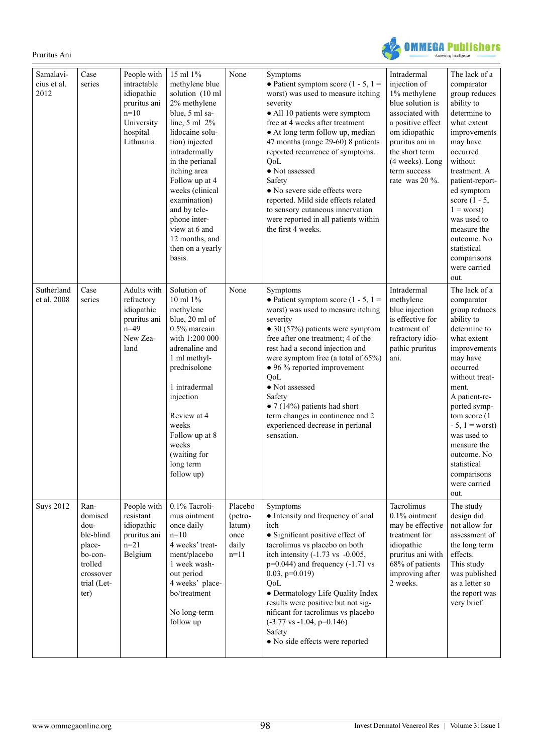**OMMEGA Publishers** 

| Samalavi-<br>cius et al.<br>2012 | Case<br>series                                                                                           | People with<br>intractable<br>idiopathic<br>pruritus ani<br>$n=10$<br>University<br>hospital<br>Lithuania | 15 ml 1%<br>methylene blue<br>solution (10 ml<br>2% methylene<br>blue, 5 ml sa-<br>line, $5 \text{ ml} 2\%$<br>lidocaine solu-<br>tion) injected<br>intradermally<br>in the perianal<br>itching area<br>Follow up at 4<br>weeks (clinical<br>examination)<br>and by tele-<br>phone inter-<br>view at 6 and<br>12 months, and<br>then on a yearly<br>basis. | None                                                    | Symptoms<br>• Patient symptom score (1 - 5, 1 =<br>worst) was used to measure itching<br>severity<br>• All 10 patients were symptom<br>free at 4 weeks after treatment<br>• At long term follow up, median<br>47 months (range 29-60) 8 patients<br>reported recurrence of symptoms.<br>QoL<br>• Not assessed<br>Safety<br>• No severe side effects were<br>reported. Mild side effects related<br>to sensory cutaneous innervation<br>were reported in all patients within<br>the first 4 weeks. | Intradermal<br>injection of<br>1% methylene<br>blue solution is<br>associated with<br>a positive effect<br>om idiopathic<br>pruritus ani in<br>the short term<br>(4 weeks). Long<br>term success<br>rate was $20\%$ . | The lack of a<br>comparator<br>group reduces<br>ability to<br>determine to<br>what extent<br>improvements<br>may have<br>occurred<br>without<br>treatment. A<br>patient-report-<br>ed symptom<br>score $(1 - 5,$<br>$1 =$ worst)<br>was used to<br>measure the<br>outcome. No<br>statistical<br>comparisons<br>were carried<br>out.      |
|----------------------------------|----------------------------------------------------------------------------------------------------------|-----------------------------------------------------------------------------------------------------------|------------------------------------------------------------------------------------------------------------------------------------------------------------------------------------------------------------------------------------------------------------------------------------------------------------------------------------------------------------|---------------------------------------------------------|---------------------------------------------------------------------------------------------------------------------------------------------------------------------------------------------------------------------------------------------------------------------------------------------------------------------------------------------------------------------------------------------------------------------------------------------------------------------------------------------------|-----------------------------------------------------------------------------------------------------------------------------------------------------------------------------------------------------------------------|------------------------------------------------------------------------------------------------------------------------------------------------------------------------------------------------------------------------------------------------------------------------------------------------------------------------------------------|
| Sutherland<br>et al. 2008        | Case<br>series                                                                                           | Adults with<br>refractory<br>idiopathic<br>pruritus ani<br>$n=49$<br>New Zea-<br>land                     | Solution of<br>10 ml 1%<br>methylene<br>blue, 20 ml of<br>0.5% marcain<br>with 1:200 000<br>adrenaline and<br>1 ml methyl-<br>prednisolone<br>1 intradermal<br>injection<br>Review at 4<br>weeks<br>Follow up at 8<br>weeks<br>(waiting for<br>long term<br>follow up)                                                                                     | None                                                    | Symptoms<br>• Patient symptom score $(1 - 5, 1 =$<br>worst) was used to measure itching<br>severity<br>$\bullet$ 30 (57%) patients were symptom<br>free after one treatment; 4 of the<br>rest had a second injection and<br>were symptom free (a total of 65%)<br>• 96 % reported improvement<br>QoL<br>• Not assessed<br>Safety<br>$\bullet$ 7 (14%) patients had short<br>term changes in continence and 2<br>experienced decrease in perianal<br>sensation.                                    | Intradermal<br>methylene<br>blue injection<br>is effective for<br>treatment of<br>refractory idio-<br>pathic pruritus<br>ani.                                                                                         | The lack of a<br>comparator<br>group reduces<br>ability to<br>determine to<br>what extent<br>improvements<br>may have<br>occurred<br>without treat-<br>ment.<br>A patient-re-<br>ported symp-<br>tom score (1)<br>$-5$ , $1 =$ worst)<br>was used to<br>measure the<br>outcome. No<br>statistical<br>comparisons<br>were carried<br>out. |
| <b>Suys 2012</b>                 | Ran-<br>domised<br>dou-<br>ble-blind<br>place-<br>bo-con-<br>trolled<br>crossover<br>trial (Let-<br>ter) | People with<br>resistant<br>idiopathic<br>pruritus ani<br>$n = 21$<br>Belgium                             | 0.1% Tacroli-<br>mus ointment<br>once daily<br>$n=10$<br>4 weeks' treat-<br>ment/placebo<br>1 week wash-<br>out period<br>4 weeks' place-<br>bo/treatment<br>No long-term<br>follow up                                                                                                                                                                     | Placebo<br>(petro-<br>latum)<br>once<br>daily<br>$n=11$ | Symptoms<br>• Intensity and frequency of anal<br>itch<br>• Significant positive effect of<br>tacrolimus vs placebo on both<br>itch intensity $(-1.73 \text{ vs } -0.005)$ ,<br>$p=0.044$ ) and frequency $(-1.71$ vs<br>$0.03$ , $p=0.019$ )<br>QoL<br>• Dermatology Life Quality Index<br>results were positive but not sig-<br>nificant for tacrolimus vs placebo<br>$(-3.77 \text{ vs } -1.04, p=0.146)$<br>Safety<br>• No side effects were reported                                          | Tacrolimus<br>$0.1\%$ ointment<br>may be effective<br>treatment for<br>idiopathic<br>pruritus ani with<br>68% of patients<br>improving after<br>2 weeks.                                                              | The study<br>design did<br>not allow for<br>assessment of<br>the long term<br>effects.<br>This study<br>was published<br>as a letter so<br>the report was<br>very brief.                                                                                                                                                                 |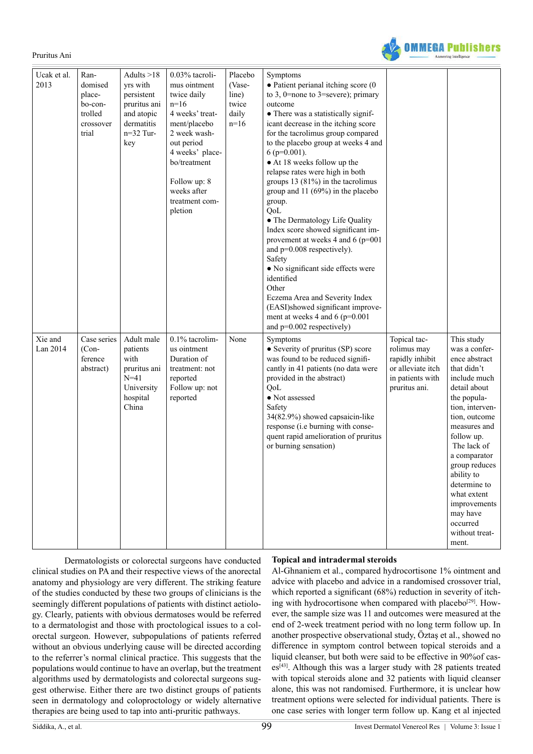

| Ucak et al.<br>2013 | Ran-<br>domised<br>place-<br>bo-con-<br>trolled<br>crossover<br>trial | Adults $>18$<br>yrs with<br>persistent<br>pruritus ani<br>and atopic<br>dermatitis<br>$n=32$ Tur-<br>key | 0.03% tacroli-<br>mus ointment<br>twice daily<br>$n=16$<br>4 weeks' treat-<br>ment/placebo<br>2 week wash-<br>out period<br>4 weeks' place-<br>bo/treatment<br>Follow up: 8<br>weeks after<br>treatment com-<br>pletion | Placebo<br>(Vase-<br>line)<br>twice<br>daily<br>$n=16$ | Symptoms<br>$\bullet$ Patient perianal itching score (0<br>to 3, 0=none to 3=severe); primary<br>outcome<br>• There was a statistically signif-<br>icant decrease in the itching score<br>for the tacrolimus group compared<br>to the placebo group at weeks 4 and<br>$6$ (p=0.001).<br>• At 18 weeks follow up the<br>relapse rates were high in both<br>groups $13(81%)$ in the tacrolimus<br>group and 11 (69%) in the placebo<br>group.<br>QoL<br>• The Dermatology Life Quality<br>Index score showed significant im-<br>provement at weeks 4 and 6 (p=001<br>and $p=0.008$ respectively).<br>Safety<br>• No significant side effects were<br>identified<br>Other<br>Eczema Area and Severity Index<br>(EASI)showed significant improve-<br>ment at weeks 4 and 6 ( $p=0.001$<br>and $p=0.002$ respectively) |                                                                                                          |                                                                                                                                                                                                                                                                                                                                              |
|---------------------|-----------------------------------------------------------------------|----------------------------------------------------------------------------------------------------------|-------------------------------------------------------------------------------------------------------------------------------------------------------------------------------------------------------------------------|--------------------------------------------------------|-------------------------------------------------------------------------------------------------------------------------------------------------------------------------------------------------------------------------------------------------------------------------------------------------------------------------------------------------------------------------------------------------------------------------------------------------------------------------------------------------------------------------------------------------------------------------------------------------------------------------------------------------------------------------------------------------------------------------------------------------------------------------------------------------------------------|----------------------------------------------------------------------------------------------------------|----------------------------------------------------------------------------------------------------------------------------------------------------------------------------------------------------------------------------------------------------------------------------------------------------------------------------------------------|
| Xie and<br>Lan 2014 | Case series<br>$(Con-$<br>ference<br>abstract)                        | Adult male<br>patients<br>with<br>pruritus ani<br>$N = 41$<br>University<br>hospital<br>China            | 0.1% tacrolim-<br>us ointment<br>Duration of<br>treatment: not<br>reported<br>Follow up: not<br>reported                                                                                                                | None                                                   | Symptoms<br>• Severity of pruritus (SP) score<br>was found to be reduced signifi-<br>cantly in 41 patients (no data were<br>provided in the abstract)<br>OoL<br>• Not assessed<br>Safety<br>34(82.9%) showed capsaicin-like<br>response (i.e burning with conse-<br>quent rapid amelioration of pruritus<br>or burning sensation)                                                                                                                                                                                                                                                                                                                                                                                                                                                                                 | Topical tac-<br>rolimus may<br>rapidly inhibit<br>or alleviate itch<br>in patients with<br>pruritus ani. | This study<br>was a confer-<br>ence abstract<br>that didn't<br>include much<br>detail about<br>the popula-<br>tion, interven-<br>tion, outcome<br>measures and<br>follow up.<br>The lack of<br>a comparator<br>group reduces<br>ability to<br>determine to<br>what extent<br>improvements<br>may have<br>occurred<br>without treat-<br>ment. |

 Dermatologists or colorectal surgeons have conducted clinical studies on PA and their respective views of the anorectal anatomy and physiology are very different. The striking feature of the studies conducted by these two groups of clinicians is the seemingly different populations of patients with distinct aetiology. Clearly, patients with obvious dermatoses would be referred to a dermatologist and those with proctological issues to a colorectal surgeon. However, subpopulations of patients referred without an obvious underlying cause will be directed according to the referrer's normal clinical practice. This suggests that the populations would continue to have an overlap, but the treatment algorithms used by dermatologists and colorectal surgeons suggest otherwise. Either there are two distinct groups of patients seen in dermatology and coloproctology or widely alternative therapies are being used to tap into anti-pruritic pathways.

#### **Topical and intradermal steroids**

Al-Ghnaniem et al., compared hydrocortisone 1% ointment and advice with placebo and advice in a randomised crossover trial, which reported a significant (68%) reduction in severity of itching with hydrocortisone when compared with placebo<sup>[29]</sup>. However, the sample size was 11 and outcomes were measured at the end of 2-week treatment period with no long term follow up. In another prospective observational study, Öztaş et al., showed no difference in symptom control between topical steroids and a liquid cleanser, but both were said to be effective in 90%of cases[\[43\].](#page-11-0) Although this was a larger study with 28 patients treated with topical steroids alone and 32 patients with liquid cleanser alone, this was not randomised. Furthermore, it is unclear how treatment options were selected for individual patients. There is one case series with longer term follow up. Kang et al injected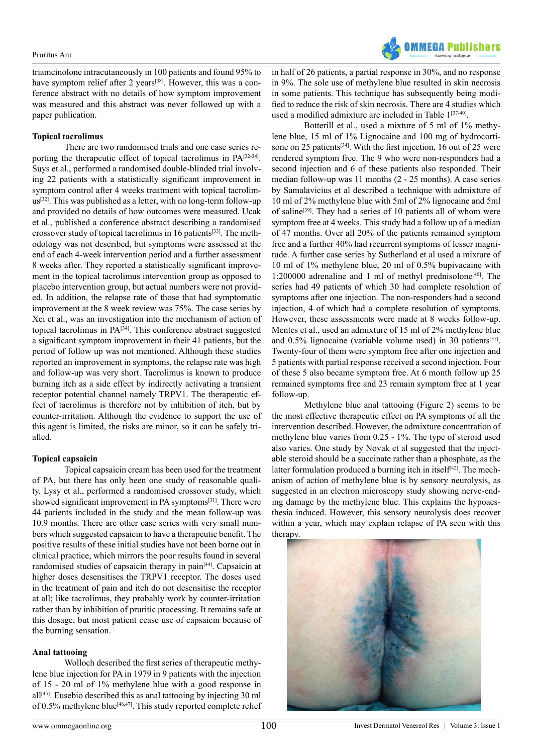triamcinolone intracutaneously in 100 patients and found 95% to have symptom relief after 2 years<sup>[38]</sup>. However, this was a conference abstract with no details of how symptom improvement was measured and this abstract was never followed up with a paper publication.

#### **Topical tacrolimus**

 There are two randomised trials and one case series reporting the therapeutic effect of topical tacrolimus in PA[\[32-34\]](#page-10-24). Suys et al., performed a randomised double-blinded trial involving 22 patients with a statistically significant improvement in symptom control after 4 weeks treatment with topical tacrolimus[\[32\].](#page-10-24) This was published as a letter, with no long-term follow-up and provided no details of how outcomes were measured. Ucak et al., published a conference abstract describing a randomised crossover study of topical tacrolimus in 16 patients<sup>[\[33\]](#page-10-25)</sup>. The methodology was not described, but symptoms were assessed at the end of each 4-week intervention period and a further assessment 8 weeks after. They reported a statistically significant improvement in the topical tacrolimus intervention group as opposed to placebo intervention group, but actual numbers were not provided. In addition, the relapse rate of those that had symptomatic improvement at the 8 week review was 75%. The case series by Xei et al., was an investigation into the mechanism of action of topical tacrolimus in PA[\[34\]](#page-10-26). This conference abstract suggested a significant symptom improvement in their 41 patients, but the period of follow up was not mentioned. Although these studies reported an improvement in symptoms, the relapse rate was high and follow-up was very short. Tacrolimus is known to produce burning itch as a side effect by indirectly activating a transient receptor potential channel namely TRPV1. The therapeutic effect of tacrolimus is therefore not by inhibition of itch, but by counter-irritation. Although the evidence to support the use of this agent is limited, the risks are minor, so it can be safely trialled.

## **Topical capsaicin**

 Topical capsaicin cream has been used for the treatment of PA, but there has only been one study of reasonable quality. Lysy et al., performed a randomised crossover study, which showed significant improvement in PA symptoms<sup>[\[31\]](#page-10-27)</sup>. There were 44 patients included in the study and the mean follow-up was 10.9 months. There are other case series with very small numbers which suggested capsaicin to have a therapeutic benefit. The positive results of these initial studies have not been borne out in clinical practice, which mirrors the poor results found in several randomised studies of capsaicin therapy in pai[n\[44\]](#page-11-1). Capsaicin at higher doses desensitises the TRPV1 receptor. The doses used in the treatment of pain and itch do not desensitise the receptor at all; like tacrolimus, they probably work by counter-irritation rather than by inhibition of pruritic processing. It remains safe at this dosage, but most patient cease use of capsaicin because of the burning sensation.

## **Anal tattooing**

 Wolloch described the first series of therapeutic methylene blue injection for PA in 1979 in 9 patients with the injection of 15 - 20 ml of 1% methylene blue with a good response in  $all^{[45]}$ . Eusebio described this as anal tattooing by injecting 30 ml of 0.5% methylene blue[\[46,47\].](#page-11-3) This study reported complete relief

in half of 26 patients, a partial response in 30%, and no response in 9%. The sole use of methylene blue resulted in skin necrosis in some patients. This technique has subsequently being modified to reduce the risk of skin necrosis. There are 4 studies which used a modified admixture are included in Table 1<sup>[\[37-40\]](#page-10-28)</sup>.

 Botterill et al., used a mixture of 5 ml of 1% methylene blue, 15 ml of 1% Lignocaine and 100 mg of hydrocortisone on 25 patients<sup>[34]</sup>. With the first injection, 16 out of 25 were rendered symptom free. The 9 who were non-responders had a second injection and 6 of these patients also responded. Their median follow-up was 11 months (2 - 25 months). A case series by Samalavicius et al described a technique with admixture of 10 ml of 2% methylene blue with 5ml of 2% lignocaine and 5ml of saline<sup>[39]</sup>. They had a series of 10 patients all of whom were symptom free at 4 weeks. This study had a follow up of a median of 47 months. Over all 20% of the patients remained symptom free and a further 40% had recurrent symptoms of lesser magnitude. A further case series by Sutherland et al used a mixture of 10 ml of 1% methylene blue, 20 ml of 0.5% bupivacaine with 1:200000 adrenaline and 1 ml of methyl prednisolone<sup>[40]</sup>. The series had 49 patients of which 30 had complete resolution of symptoms after one injection. The non-responders had a second injection, 4 of which had a complete resolution of symptoms. However, these assessments were made at 8 weeks follow-up. Mentes et al., used an admixture of 15 ml of 2% methylene blue and  $0.5\%$  lignocaine (variable volume used) in 30 patients<sup>[37]</sup>. Twenty-four of them were symptom free after one injection and 5 patients with partial response received a second injection. Four of these 5 also became symptom free. At 6 month follow up 25 remained symptoms free and 23 remain symptom free at 1 year follow-up.

 Methylene blue anal tattooing (Figure 2) seems to be the most effective therapeutic effect on PA symptoms of all the intervention described. However, the admixture concentration of methylene blue varies from 0.25 - 1%. The type of steroid used also varies. One study by Novak et al suggested that the injectable steroid should be a succinate rather than a phosphate, as the latter formulation produced a burning itch in itself $[42]$ . The mechanism of action of methylene blue is by sensory neurolysis, as suggested in an electron microscopy study showing nerve-ending damage by the methylene blue. This explains the hypoaesthesia induced. However, this sensory neurolysis does recover within a year, which may explain relapse of PA seen with this therapy.

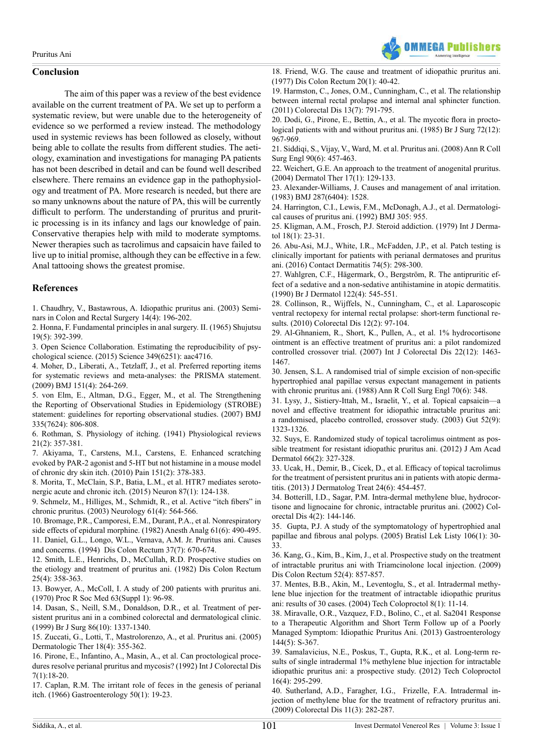

# **Conclusion**

 The aim of this paper was a review of the best evidence available on the current treatment of PA. We set up to perform a systematic review, but were unable due to the heterogeneity of evidence so we performed a review instead. The methodology used in systemic reviews has been followed as closely, without being able to collate the results from different studies. The aetiology, examination and investigations for managing PA patients has not been described in detail and can be found well described elsewhere. There remains an evidence gap in the pathophysiology and treatment of PA. More research is needed, but there are so many unknowns about the nature of PA, this will be currently difficult to perform. The understanding of pruritus and pruritic processing is in its infancy and lags our knowledge of pain. Conservative therapies help with mild to moderate symptoms. Newer therapies such as tacrolimus and capsaicin have failed to live up to initial promise, although they can be effective in a few. Anal tattooing shows the greatest promise.

# **References**

<span id="page-10-0"></span>1. Chaudhry, V., [Bastawrous,](http://www.seminarscolonrectalsurgery.com/article/S1043-1489(04)00013-2/abstract) A. Idiopathic pruritus ani. (2003) Seminars in Colon and Rectal Surgery 14(4): [196-202.](http://www.seminarscolonrectalsurgery.com/article/S1043-1489(04)00013-2/abstract)

<span id="page-10-1"></span>2. Honna, F. [Fundamental](https://www.ncbi.nlm.nih.gov/pubmed/5884300) principles in anal surgery. II. (1965) Shujutsu 19(5): [392-399](https://www.ncbi.nlm.nih.gov/pubmed/5884300).

<span id="page-10-2"></span>3. Open Science Collaboration. Estimating the [reproducibility](http://science.sciencemag.org/content/349/6251/aac4716) of psychological science. (2015) Science [349\(6251\):](http://science.sciencemag.org/content/349/6251/aac4716) aac4716.

<span id="page-10-3"></span>4. Moher, D., Liberati, A., Tetzlaff, J., et al. [Preferred](https://www.ncbi.nlm.nih.gov/pubmed/19622551) reporting items for systematic reviews and [meta-analyses:](https://www.ncbi.nlm.nih.gov/pubmed/19622551) the PRISMA statement. (2009) BMJ 151(4): [264-269.](https://www.ncbi.nlm.nih.gov/pubmed/19622551)

<span id="page-10-4"></span>5. von Elm, E., Altman, D.G., Egger, M., et al. The [Strengthening](https://www.ncbi.nlm.nih.gov/pubmed/17947786) the Reporting of Observational Studies in [Epidemiology](https://www.ncbi.nlm.nih.gov/pubmed/17947786) (STROBE) statement: guidelines for reporting [observational](https://www.ncbi.nlm.nih.gov/pubmed/17947786) studies. (2007) BMJ [335\(7624\):](https://www.ncbi.nlm.nih.gov/pubmed/17947786) 806-808.

<span id="page-10-5"></span>6. Rothman, S. Physiology of itching. (1941) [Physiological](http://physrev.physiology.org/content/21/2/357) reviews 21(2): [357-381.](http://physrev.physiology.org/content/21/2/357)

<span id="page-10-6"></span>7. Akiyama, T., Carstens, M.I., Carstens, E. Enhanced [scratching](https://www.ncbi.nlm.nih.gov/pubmed/20709455) evoked by PAR-2 agonist and 5-HT but not [histamine](https://www.ncbi.nlm.nih.gov/pubmed/20709455) in a mouse model of chronic dry skin itch. (2010) Pain 151(2): [378-383.](https://www.ncbi.nlm.nih.gov/pubmed/20709455)

8. Morita, T., [McClain,](https://www.ncbi.nlm.nih.gov/pubmed/26074006) S.P., Batia, L.M., et al. HTR7 mediates serotonergic acute and chronic itch. (2015) Neuron 87(1): [124-138.](https://www.ncbi.nlm.nih.gov/pubmed/26074006)

<span id="page-10-7"></span>9. [Schmelz,](https://www.ncbi.nlm.nih.gov/pubmed/12939442) M., Hilliges, M., Schmidt, R., et al. Active "itch fibers" in chronic pruritus. (2003) [Neurology](https://www.ncbi.nlm.nih.gov/pubmed/12939442) 61(4): 564-566.

<span id="page-10-8"></span>10. Bromage, P.R., Camporesi, E.M., Durant, P.A., et al. [Nonrespiratory](https://www.ncbi.nlm.nih.gov/pubmed/7200737) side effects of epidural [morphine.](https://www.ncbi.nlm.nih.gov/pubmed/7200737) (1982) Anesth Analg 61(6): 490-495.

<span id="page-10-9"></span>11. Daniel, G.L., Longo, W.L., [Vernava,](https://www.ncbi.nlm.nih.gov/pubmed/8026233) A.M. Jr. Pruritus ani. Causes and concerns. [\(1994\) Dis](https://www.ncbi.nlm.nih.gov/pubmed/8026233) Colon Rectum 37(7): 670-674.

<span id="page-10-13"></span>12. Smith, L.E., Henrichs, D., McCullah, R.D. [Prospective](https://www.ncbi.nlm.nih.gov/pubmed/7044727) studies on the etiology and [treatment](https://www.ncbi.nlm.nih.gov/pubmed/7044727) of pruritus ani. (1982) Dis Colon Rectum 25(4): [358-363.](https://www.ncbi.nlm.nih.gov/pubmed/7044727)

<span id="page-10-10"></span>13. [Bowyer,](https://www.ncbi.nlm.nih.gov/pmc/articles/PMC1811396/) A., McColl, I. A study of 200 patients with pruritus ani. (1970) Proc R Soc Med [63\(Suppl](https://www.ncbi.nlm.nih.gov/pmc/articles/PMC1811396/) 1): 96-98.

14. Dasan, S., Neill, S.M., [Donaldson,](https://www.ncbi.nlm.nih.gov/pubmed/10540145) D.R., et al. Treatment of persistent pruritus ani in a combined colorectal and [dermatological](https://www.ncbi.nlm.nih.gov/pubmed/10540145) clinic. (1999) Br J Surg 86(10): [1337-1340.](https://www.ncbi.nlm.nih.gov/pubmed/10540145)

15. Zuccati, G., Lotti, T., [Mastrolorenzo,](http://onlinelibrary.wiley.com/doi/10.1111/j.1529-8019.2005.00031.x/abstract) A., et al. Pruritus ani. (2005) [Dermatologic](http://onlinelibrary.wiley.com/doi/10.1111/j.1529-8019.2005.00031.x/abstract) Ther 18(4): 355-362.

<span id="page-10-11"></span>16. Pirone, E., Infantino, A., Masin, A., et al. Can [proctological](https://www.ncbi.nlm.nih.gov/pubmed/1588219) procedures resolve perianal pruritus and mycosis? (1992) Int J [Colorectal](https://www.ncbi.nlm.nih.gov/pubmed/1588219) Dis [7\(1\):18-20.](https://www.ncbi.nlm.nih.gov/pubmed/1588219)

<span id="page-10-12"></span>17. Caplan, R.M. The irritant role of feces in the genesis of [perianal](https://www.ncbi.nlm.nih.gov/pubmed/5900950) itch. (1966) [Gastroenterology](https://www.ncbi.nlm.nih.gov/pubmed/5900950) 50(1): 19-23.

18. Friend, W.G. The cause and treatment of [idiopathic](https://www.ncbi.nlm.nih.gov/pubmed/832560) pruritus ani. (1977) Dis Colon [Rectum](https://www.ncbi.nlm.nih.gov/pubmed/832560) 20(1): 40-42.

<span id="page-10-14"></span>19. Harmston, C., Jones, O.M., [Cunningham,](https://www.ncbi.nlm.nih.gov/pubmed/20345968) C., et al. The relationship between internal rectal prolapse and internal anal [sphincter](https://www.ncbi.nlm.nih.gov/pubmed/20345968) function. (2011) [Colorectal](https://www.ncbi.nlm.nih.gov/pubmed/20345968) Dis 13(7): 791-795.

<span id="page-10-17"></span>20. Dodi, G., Pirone, E., Bettin, A., et al. The [mycotic](https://www.ncbi.nlm.nih.gov/pubmed/3910158) flora in proctological [patients](https://www.ncbi.nlm.nih.gov/pubmed/3910158) with and without pruritus ani. (1985) Br J Surg 72(12): [967-969.](https://www.ncbi.nlm.nih.gov/pubmed/3910158)

<span id="page-10-15"></span>21. Siddiqi, S., Vijay, V., Ward, M. et al. [Pruritus](https://www.ncbi.nlm.nih.gov/pmc/articles/PMC2647235/) ani. (2008) Ann R Coll Surg Engl 90(6): [457-463.](https://www.ncbi.nlm.nih.gov/pmc/articles/PMC2647235/)

<span id="page-10-16"></span>22. Weichert, G.E. An approach to the treatment of [anogenital](https://www.ncbi.nlm.nih.gov/pubmed/14756897) pruritus. (2004) [Dermatol](https://www.ncbi.nlm.nih.gov/pubmed/14756897) Ther 17(1): 129-133.

<span id="page-10-18"></span>23. [Alexander-Williams,](https://www.ncbi.nlm.nih.gov/pmc/articles/PMC1549920/) J. Causes and management of anal irritation. (1983) BMJ [287\(6404\):](https://www.ncbi.nlm.nih.gov/pmc/articles/PMC1549920/) 1528.

24. Harrington, C.I., Lewis, F.M., McDonagh, A.J., et al. [Dermatologi](http://www.bmj.com/content/305/6859/955.2)cal causes of [pruritus](http://www.bmj.com/content/305/6859/955.2) ani. (1992) BMJ 305: 955.

25. Kligman, A.M., Frosch, P.J. Steroid [addiction.](http://onlinelibrary.wiley.com/doi/10.1111/j.1365-4362.1979.tb01905.x/abstract) (1979) Int J Dermatol 18(1): [23-31.](http://onlinelibrary.wiley.com/doi/10.1111/j.1365-4362.1979.tb01905.x/abstract)

<span id="page-10-20"></span>26. Abu-Asi, M.J., White, I.R., [McFadden,](https://www.ncbi.nlm.nih.gov/pubmed/27040873) J.P., et al. Patch testing is clinically important for patients with perianal [dermatoses](https://www.ncbi.nlm.nih.gov/pubmed/27040873) and pruritus ani. (2016) Contact [Dermatitis](https://www.ncbi.nlm.nih.gov/pubmed/27040873) 74(5): 298-300.

<span id="page-10-19"></span>27. Wahlgren, C.F., [Hägermark,](https://www.ncbi.nlm.nih.gov/pubmed/2110817) O., Bergström, R. The antipruritic effect of a sedative and a non-sedative [antihistamine](https://www.ncbi.nlm.nih.gov/pubmed/2110817) in atopic dermatitis. (1990) Br J [Dermatol](https://www.ncbi.nlm.nih.gov/pubmed/2110817) 122(4): 545-551.

<span id="page-10-21"></span>28. Collinson, R., Wijffels, N., [Cunningham,](https://www.ncbi.nlm.nih.gov/pubmed/19788493) C., et al. Laparoscopic ventral rectopexy for internal rectal prolapse: [short-term](https://www.ncbi.nlm.nih.gov/pubmed/19788493) functional results. (2010) [Colorectal](https://www.ncbi.nlm.nih.gov/pubmed/19788493) Dis 12(2): 97-104.

<span id="page-10-22"></span>29. Al-Ghnaniem, R., Short, K., Pullen, A., et al. 1% [hydrocortisone](https://www.ncbi.nlm.nih.gov/pubmed/17534634) ointment is an effective treatment of pruritus ani: a pilot [randomized](https://www.ncbi.nlm.nih.gov/pubmed/17534634) controlled crossover trial. (2007) Int J [Colorectal](https://www.ncbi.nlm.nih.gov/pubmed/17534634) Dis 22(12): 1463- [1467.](https://www.ncbi.nlm.nih.gov/pubmed/17534634)

30. Jensen, S.L. A randomised trial of simple excision of [non-specific](https://www.ncbi.nlm.nih.gov/pmc/articles/PMC2498621/) [hypertrophied](https://www.ncbi.nlm.nih.gov/pmc/articles/PMC2498621/) anal papillae versus expectant management in patients with chronic [pruritus](https://www.ncbi.nlm.nih.gov/pmc/articles/PMC2498621/) ani. (1988) Ann R Coll Surg Engl 70(6): 348.

<span id="page-10-27"></span>31. Lysy, J., [Sistiery-Ittah,](https://www.ncbi.nlm.nih.gov/pubmed/12912865) M., Israelit, Y., et al. Topical capsaicin—a novel and effective treatment for idiopathic [intractable](https://www.ncbi.nlm.nih.gov/pubmed/12912865) pruritus ani: a [randomised,](https://www.ncbi.nlm.nih.gov/pubmed/12912865) placebo controlled, crossover study. (2003) Gut 52(9): [1323-1326.](https://www.ncbi.nlm.nih.gov/pubmed/12912865)

<span id="page-10-24"></span>32. Suys, E. [Randomized](https://www.ncbi.nlm.nih.gov/pubmed/22243728) study of topical tacrolimus ointment as possible treatment for resistant [idiopathic](https://www.ncbi.nlm.nih.gov/pubmed/22243728) pruritus ani. (2012) J Am Acad [Dermatol](https://www.ncbi.nlm.nih.gov/pubmed/22243728) 66(2): 327-328.

<span id="page-10-25"></span>33. Ucak, H., Demir, B., Cicek, D., et al. Efficacy of topical [tacrolimus](https://www.ncbi.nlm.nih.gov/pubmed/23638997) for the treatment of [persistent](https://www.ncbi.nlm.nih.gov/pubmed/23638997) pruritus ani in patients with atopic dermatitis. (2013) J [Dermatolog](https://www.ncbi.nlm.nih.gov/pubmed/23638997) Treat 24(6): 454-457.

<span id="page-10-26"></span>34. Botterill, I.D., Sagar, P.M. [Intra-dermal](https://www.ncbi.nlm.nih.gov/pubmed/12780640) methylene blue, hydrocortisone and lignocaine for chronic, [intractable](https://www.ncbi.nlm.nih.gov/pubmed/12780640) pruritus ani. (2002) Colorectal Dis 4(2): [144-146.](https://www.ncbi.nlm.nih.gov/pubmed/12780640)

35. Gupta, P.J. A study of the [symptomatology](https://www.ncbi.nlm.nih.gov/pubmed/15869011) of hypertrophied anal [papillae](https://www.ncbi.nlm.nih.gov/pubmed/15869011) and fibrous anal polyps. (2005) Bratisl Lek Listy 106(1): 30- [33.](https://www.ncbi.nlm.nih.gov/pubmed/15869011)

36. Kang, G., Kim, B., Kim, J., et al. Prospective study on the treatment of intractable pruritus ani with Triamcinolone local injection. (2009) Dis Colon Rectum 52(4): 857-857.

<span id="page-10-28"></span>37. Mentes, B.B., Akin, M., [Leventoglu,](https://www.ncbi.nlm.nih.gov/pubmed/15057582) S., et al. Intradermal methylene blue injection for the treatment of [intractable](https://www.ncbi.nlm.nih.gov/pubmed/15057582) idiopathic pruritus ani: results of 30 cases. (2004) Tech [Coloproctol](https://www.ncbi.nlm.nih.gov/pubmed/15057582) 8(1): 11-14.

<span id="page-10-23"></span>38. [Miravalle,](http://www.gastrojournal.org/article/S0016-5085(13)61350-5/abstract) O.R., Vazquez, F.D., Bolino, C., et al. Sa2041 Response to a [Therapeutic](http://www.gastrojournal.org/article/S0016-5085(13)61350-5/abstract) Algorithm and Short Term Follow up of a Poorly Managed Symptom: Idiopathic Pruritus Ani. (2013) [Gastroenterology](http://www.gastrojournal.org/article/S0016-5085(13)61350-5/abstract) [144\(5\):](http://www.gastrojournal.org/article/S0016-5085(13)61350-5/abstract) S-367.

<span id="page-10-29"></span>39. [Samalavicius,](https://www.ncbi.nlm.nih.gov/pubmed/22669483) N.E., Poskus, T., Gupta, R.K., et al. Long-term results of single [intradermal](https://www.ncbi.nlm.nih.gov/pubmed/22669483) 1% methylene blue injection for intractable idiopathic pruritus ani: a prospective study. (2012) Tech [Coloproctol](https://www.ncbi.nlm.nih.gov/pubmed/22669483) 16(4): [295-299.](https://www.ncbi.nlm.nih.gov/pubmed/22669483)

<span id="page-10-30"></span>40. Sutherland, A.D., Faragher, [I.G., Frizelle,](https://www.ncbi.nlm.nih.gov/pubmed/18513198) F.A. Intradermal injection of [methylene](https://www.ncbi.nlm.nih.gov/pubmed/18513198) blue for the treatment of refractory pruritus ani. (2009) [Colorectal](https://www.ncbi.nlm.nih.gov/pubmed/18513198) Dis 11(3): 282-287.